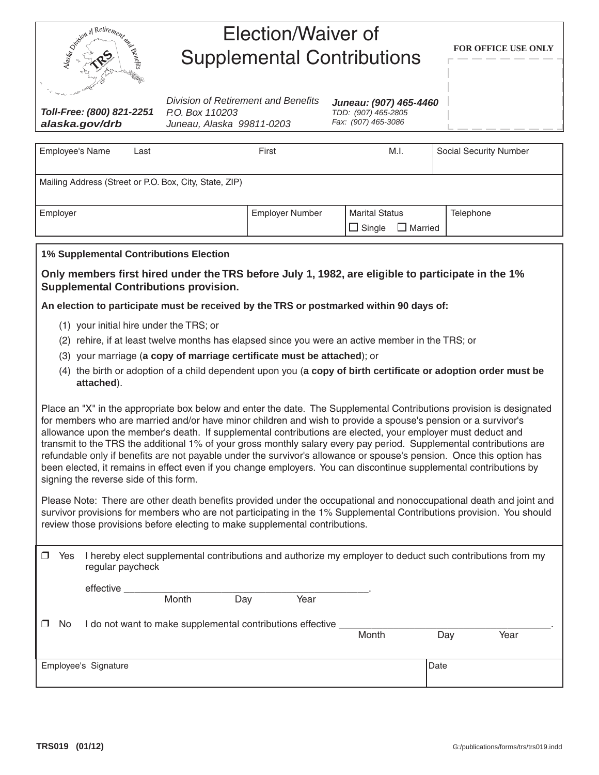| Spiritual Retirement and |  |
|--------------------------|--|
| Benefits<br>č            |  |
|                          |  |

## Election/Waiver of Supplemental Contributions

*Toll-Free: (800) 821-2251 alaska.gov/drb*

*Division of Retirement and Benefits P.O. Box 110203 Juneau, Alaska 99811-0203*

*Juneau: (907) 465-4460 TDD: (907) 465-2805 Fax: (907) 465-3086*

| <b>Employee's Name</b> | Last                                                   | First                  | M.I.                                              | <b>Social Security Number</b> |
|------------------------|--------------------------------------------------------|------------------------|---------------------------------------------------|-------------------------------|
|                        | Mailing Address (Street or P.O. Box, City, State, ZIP) |                        |                                                   |                               |
| Employer               |                                                        | <b>Employer Number</b> | <b>Marital Status</b><br>$\Box$ Single<br>Married | <b>Telephone</b>              |

## **1% Supplemental Contributions Election**

**Only members first hired under the TRS before July 1, 1982, are eligible to participate in the 1% Supplemental Contributions provision.** 

**An election to participate must be received by the TRS or postmarked within 90 days of:**

- (1) your initial hire under the TRS; or
- (2) rehire, if at least twelve months has elapsed since you were an active member in the TRS; or
- (3) your marriage (**a copy of marriage certificate must be attached**); or
- (4) the birth or adoption of a child dependent upon you (**a copy of birth certificate or adoption order must be attached**).

Place an "X" in the appropriate box below and enter the date. The Supplemental Contributions provision is designated for members who are married and/or have minor children and wish to provide a spouse's pension or a survivor's allowance upon the member's death. If supplemental contributions are elected, your employer must deduct and transmit to the TRS the additional 1% of your gross monthly salary every pay period. Supplemental contributions are refundable only if benefits are not payable under the survivor's allowance or spouse's pension. Once this option has been elected, it remains in effect even if you change employers. You can discontinue supplemental contributions by signing the reverse side of this form.

Please Note: There are other death benefits provided under the occupational and nonoccupational death and joint and survivor provisions for members who are not participating in the 1% Supplemental Contributions provision. You should review those provisions before electing to make supplemental contributions.

|    | Yes | I hereby elect supplemental contributions and authorize my employer to deduct such contributions from my<br>regular paycheck |                                                            |     |      |       |      |      |
|----|-----|------------------------------------------------------------------------------------------------------------------------------|------------------------------------------------------------|-----|------|-------|------|------|
|    |     | effective                                                                                                                    | Month                                                      | Day | Year |       |      |      |
| ΠL | No. |                                                                                                                              | I do not want to make supplemental contributions effective |     |      | Month | Day  | Year |
|    |     | Employee's Signature                                                                                                         |                                                            |     |      |       | Date |      |